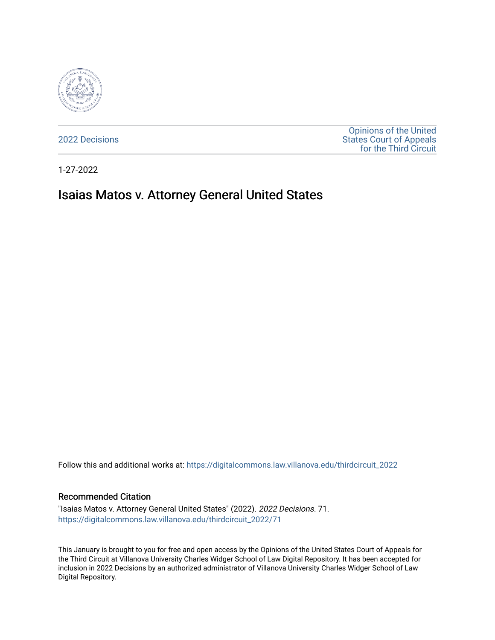

[2022 Decisions](https://digitalcommons.law.villanova.edu/thirdcircuit_2022)

[Opinions of the United](https://digitalcommons.law.villanova.edu/thirdcircuit)  [States Court of Appeals](https://digitalcommons.law.villanova.edu/thirdcircuit)  [for the Third Circuit](https://digitalcommons.law.villanova.edu/thirdcircuit) 

1-27-2022

# Isaias Matos v. Attorney General United States

Follow this and additional works at: [https://digitalcommons.law.villanova.edu/thirdcircuit\\_2022](https://digitalcommons.law.villanova.edu/thirdcircuit_2022?utm_source=digitalcommons.law.villanova.edu%2Fthirdcircuit_2022%2F71&utm_medium=PDF&utm_campaign=PDFCoverPages) 

### Recommended Citation

"Isaias Matos v. Attorney General United States" (2022). 2022 Decisions. 71. [https://digitalcommons.law.villanova.edu/thirdcircuit\\_2022/71](https://digitalcommons.law.villanova.edu/thirdcircuit_2022/71?utm_source=digitalcommons.law.villanova.edu%2Fthirdcircuit_2022%2F71&utm_medium=PDF&utm_campaign=PDFCoverPages)

This January is brought to you for free and open access by the Opinions of the United States Court of Appeals for the Third Circuit at Villanova University Charles Widger School of Law Digital Repository. It has been accepted for inclusion in 2022 Decisions by an authorized administrator of Villanova University Charles Widger School of Law Digital Repository.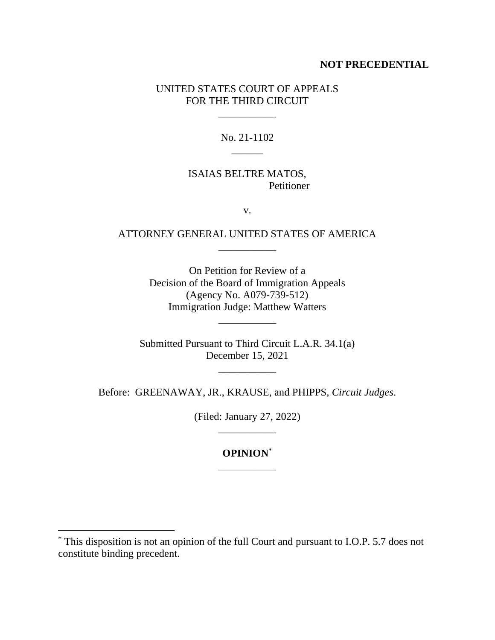### **NOT PRECEDENTIAL**

# UNITED STATES COURT OF APPEALS FOR THE THIRD CIRCUIT

\_\_\_\_\_\_\_\_\_\_\_

# No. 21-1102  $\overline{\phantom{a}}$

# ISAIAS BELTRE MATOS, Petitioner

v.

# ATTORNEY GENERAL UNITED STATES OF AMERICA \_\_\_\_\_\_\_\_\_\_\_

On Petition for Review of a Decision of the Board of Immigration Appeals (Agency No. A079-739-512) Immigration Judge: Matthew Watters

\_\_\_\_\_\_\_\_\_\_\_

Submitted Pursuant to Third Circuit L.A.R. 34.1(a) December 15, 2021

\_\_\_\_\_\_\_\_\_\_\_

Before: GREENAWAY, JR., KRAUSE, and PHIPPS, *Circuit Judges*.

(Filed: January 27, 2022) \_\_\_\_\_\_\_\_\_\_\_

# **OPINION**\* \_\_\_\_\_\_\_\_\_\_\_

<sup>\*</sup> This disposition is not an opinion of the full Court and pursuant to I.O.P. 5.7 does not constitute binding precedent.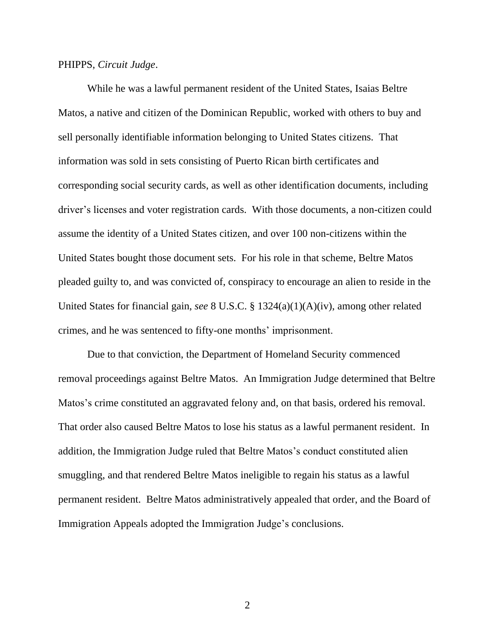### PHIPPS, *Circuit Judge*.

While he was a lawful permanent resident of the United States, Isaias Beltre Matos, a native and citizen of the Dominican Republic, worked with others to buy and sell personally identifiable information belonging to United States citizens. That information was sold in sets consisting of Puerto Rican birth certificates and corresponding social security cards, as well as other identification documents, including driver's licenses and voter registration cards. With those documents, a non-citizen could assume the identity of a United States citizen, and over 100 non-citizens within the United States bought those document sets. For his role in that scheme, Beltre Matos pleaded guilty to, and was convicted of, conspiracy to encourage an alien to reside in the United States for financial gain, *see* 8 U.S.C. § 1324(a)(1)(A)(iv), among other related crimes, and he was sentenced to fifty-one months' imprisonment.

Due to that conviction, the Department of Homeland Security commenced removal proceedings against Beltre Matos. An Immigration Judge determined that Beltre Matos's crime constituted an aggravated felony and, on that basis, ordered his removal. That order also caused Beltre Matos to lose his status as a lawful permanent resident. In addition, the Immigration Judge ruled that Beltre Matos's conduct constituted alien smuggling, and that rendered Beltre Matos ineligible to regain his status as a lawful permanent resident. Beltre Matos administratively appealed that order, and the Board of Immigration Appeals adopted the Immigration Judge's conclusions.

2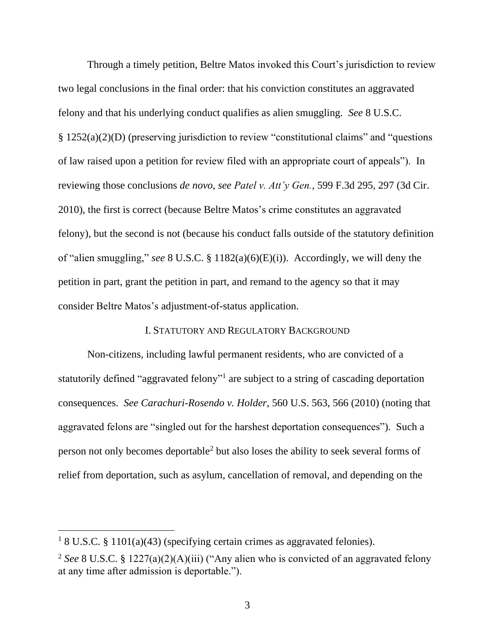Through a timely petition, Beltre Matos invoked this Court's jurisdiction to review two legal conclusions in the final order: that his conviction constitutes an aggravated felony and that his underlying conduct qualifies as alien smuggling. *See* 8 U.S.C. § 1252(a)(2)(D) (preserving jurisdiction to review "constitutional claims" and "questions of law raised upon a petition for review filed with an appropriate court of appeals"). In reviewing those conclusions *de novo*, *see Patel v. Att'y Gen.*, 599 F.3d 295, 297 (3d Cir. 2010), the first is correct (because Beltre Matos's crime constitutes an aggravated felony), but the second is not (because his conduct falls outside of the statutory definition of "alien smuggling," *see* 8 U.S.C. § 1182(a)(6)(E)(i)). Accordingly, we will deny the petition in part, grant the petition in part, and remand to the agency so that it may consider Beltre Matos's adjustment-of-status application.

# I. STATUTORY AND REGULATORY BACKGROUND

Non-citizens, including lawful permanent residents, who are convicted of a statutorily defined "aggravated felony"<sup>1</sup> are subject to a string of cascading deportation consequences. *See Carachuri-Rosendo v. Holder*, 560 U.S. 563, 566 (2010) (noting that aggravated felons are "singled out for the harshest deportation consequences"). Such a person not only becomes deportable<sup>2</sup> but also loses the ability to seek several forms of relief from deportation, such as asylum, cancellation of removal, and depending on the

<sup>&</sup>lt;sup>1</sup> 8 U.S.C. § 1101(a)(43) (specifying certain crimes as aggravated felonies).

<sup>2</sup> *See* 8 U.S.C. § 1227(a)(2)(A)(iii) ("Any alien who is convicted of an aggravated felony at any time after admission is deportable.").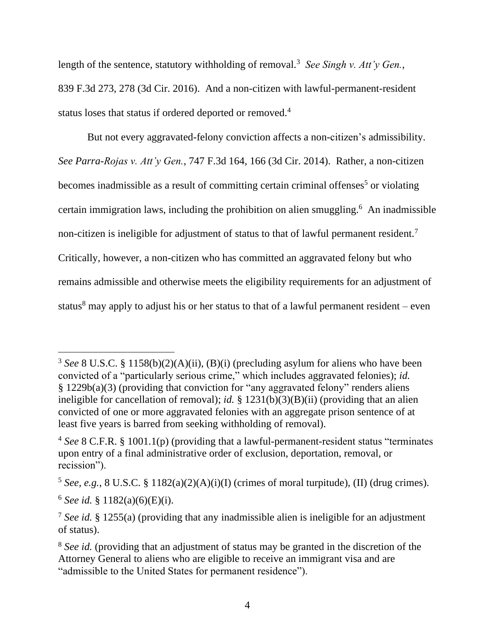length of the sentence, statutory withholding of removal.<sup>3</sup> See Singh v. Att'y Gen., 839 F.3d 273, 278 (3d Cir. 2016). And a non-citizen with lawful-permanent-resident status loses that status if ordered deported or removed.<sup>4</sup>

But not every aggravated-felony conviction affects a non-citizen's admissibility. *See Parra-Rojas v. Att'y Gen.*, 747 F.3d 164, 166 (3d Cir. 2014). Rather, a non-citizen becomes inadmissible as a result of committing certain criminal offenses<sup>5</sup> or violating certain immigration laws, including the prohibition on alien smuggling. <sup>6</sup> An inadmissible non-citizen is ineligible for adjustment of status to that of lawful permanent resident.<sup>7</sup> Critically, however, a non-citizen who has committed an aggravated felony but who remains admissible and otherwise meets the eligibility requirements for an adjustment of status $8$  may apply to adjust his or her status to that of a lawful permanent resident – even

<sup>&</sup>lt;sup>3</sup> *See* 8 U.S.C. § 1158(b)(2)(A)(ii), (B)(i) (precluding asylum for aliens who have been convicted of a "particularly serious crime," which includes aggravated felonies); *id.* § 1229b(a)(3) (providing that conviction for "any aggravated felony" renders aliens ineligible for cancellation of removal); *id.* § 1231(b)(3)(B)(ii) (providing that an alien convicted of one or more aggravated felonies with an aggregate prison sentence of at least five years is barred from seeking withholding of removal).

<sup>4</sup> *See* 8 C.F.R. § 1001.1(p) (providing that a lawful-permanent-resident status "terminates upon entry of a final administrative order of exclusion, deportation, removal, or recission").

<sup>&</sup>lt;sup>5</sup> *See, e.g.*, 8 U.S.C. § 1182(a)(2)(A)(i)(I) (crimes of moral turpitude), (II) (drug crimes).  $6$  *See id.* § 1182(a)(6)(E)(i).

<sup>7</sup> *See id.* § 1255(a) (providing that any inadmissible alien is ineligible for an adjustment of status).

<sup>&</sup>lt;sup>8</sup> See id. (providing that an adjustment of status may be granted in the discretion of the Attorney General to aliens who are eligible to receive an immigrant visa and are "admissible to the United States for permanent residence").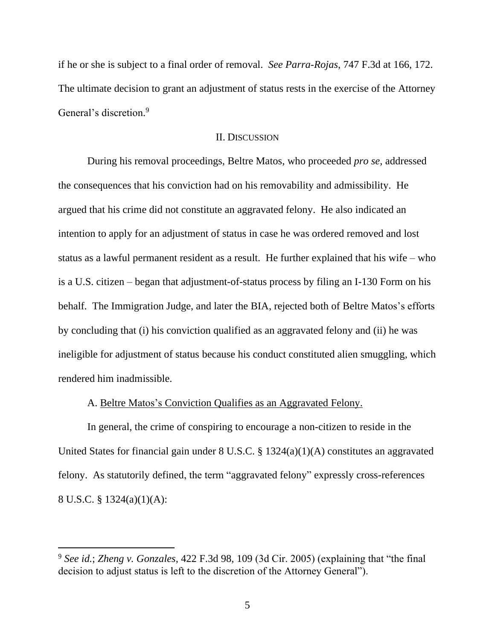if he or she is subject to a final order of removal. *See Parra-Rojas*, 747 F.3d at 166, 172. The ultimate decision to grant an adjustment of status rests in the exercise of the Attorney General's discretion.<sup>9</sup>

### II. DISCUSSION

During his removal proceedings, Beltre Matos, who proceeded *pro se*, addressed the consequences that his conviction had on his removability and admissibility. He argued that his crime did not constitute an aggravated felony. He also indicated an intention to apply for an adjustment of status in case he was ordered removed and lost status as a lawful permanent resident as a result. He further explained that his wife – who is a U.S. citizen – began that adjustment-of-status process by filing an I-130 Form on his behalf. The Immigration Judge, and later the BIA, rejected both of Beltre Matos's efforts by concluding that (i) his conviction qualified as an aggravated felony and (ii) he was ineligible for adjustment of status because his conduct constituted alien smuggling, which rendered him inadmissible.

### A. Beltre Matos's Conviction Qualifies as an Aggravated Felony.

In general, the crime of conspiring to encourage a non-citizen to reside in the United States for financial gain under 8 U.S.C. § 1324(a)(1)(A) constitutes an aggravated felony. As statutorily defined, the term "aggravated felony" expressly cross-references 8 U.S.C. § 1324(a)(1)(A):

<sup>9</sup> *See id.*; *Zheng v. Gonzales*, 422 F.3d 98, 109 (3d Cir. 2005) (explaining that "the final decision to adjust status is left to the discretion of the Attorney General").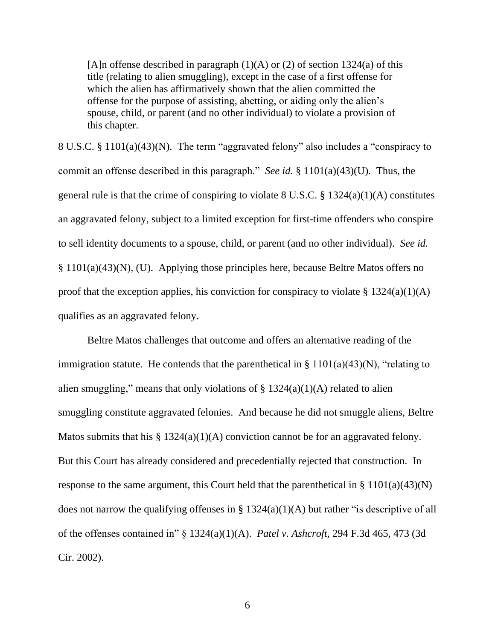[A]n offense described in paragraph  $(1)(A)$  or  $(2)$  of section 1324(a) of this title (relating to alien smuggling), except in the case of a first offense for which the alien has affirmatively shown that the alien committed the offense for the purpose of assisting, abetting, or aiding only the alien's spouse, child, or parent (and no other individual) to violate a provision of this chapter.

8 U.S.C. § 1101(a)(43)(N). The term "aggravated felony" also includes a "conspiracy to commit an offense described in this paragraph." *See id.* § 1101(a)(43)(U). Thus, the general rule is that the crime of conspiring to violate  $8 \text{ U.S.C.} \$ § 1324(a)(1)(A) constitutes an aggravated felony, subject to a limited exception for first-time offenders who conspire to sell identity documents to a spouse, child, or parent (and no other individual). *See id.* § 1101(a)(43)(N), (U). Applying those principles here, because Beltre Matos offers no proof that the exception applies, his conviction for conspiracy to violate  $\S 1324(a)(1)(A)$ qualifies as an aggravated felony.

Beltre Matos challenges that outcome and offers an alternative reading of the immigration statute. He contends that the parenthetical in  $\S 1101(a)(43)(N)$ , "relating to alien smuggling," means that only violations of  $\S$  1324(a)(1)(A) related to alien smuggling constitute aggravated felonies. And because he did not smuggle aliens, Beltre Matos submits that his  $\S 1324(a)(1)(A)$  conviction cannot be for an aggravated felony. But this Court has already considered and precedentially rejected that construction. In response to the same argument, this Court held that the parenthetical in  $\S 1101(a)(43)(N)$ does not narrow the qualifying offenses in  $\S 1324(a)(1)(A)$  but rather "is descriptive of all of the offenses contained in" § 1324(a)(1)(A). *Patel v. Ashcroft*, 294 F.3d 465, 473 (3d Cir. 2002).

6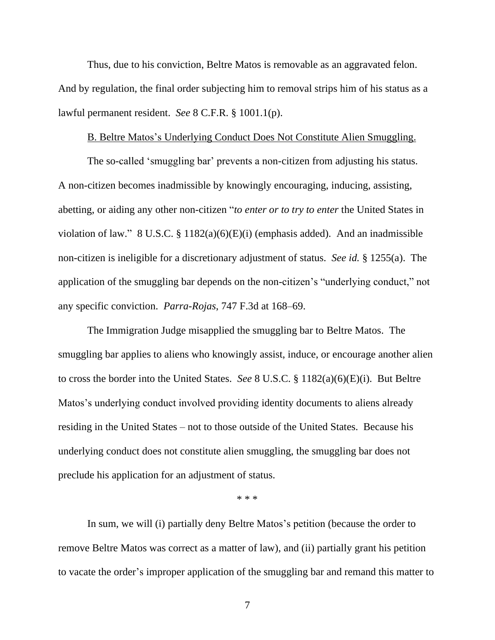Thus, due to his conviction, Beltre Matos is removable as an aggravated felon. And by regulation, the final order subjecting him to removal strips him of his status as a lawful permanent resident. *See* 8 C.F.R. § 1001.1(p).

#### B. Beltre Matos's Underlying Conduct Does Not Constitute Alien Smuggling.

The so-called 'smuggling bar' prevents a non-citizen from adjusting his status. A non-citizen becomes inadmissible by knowingly encouraging, inducing, assisting, abetting, or aiding any other non-citizen "*to enter or to try to enter* the United States in violation of law." 8 U.S.C. § 1182(a)(6)(E)(i) (emphasis added). And an inadmissible non-citizen is ineligible for a discretionary adjustment of status. *See id.* § 1255(a). The application of the smuggling bar depends on the non-citizen's "underlying conduct," not any specific conviction. *Parra-Rojas*, 747 F.3d at 168–69.

The Immigration Judge misapplied the smuggling bar to Beltre Matos. The smuggling bar applies to aliens who knowingly assist, induce, or encourage another alien to cross the border into the United States. *See* 8 U.S.C. § 1182(a)(6)(E)(i). But Beltre Matos's underlying conduct involved providing identity documents to aliens already residing in the United States – not to those outside of the United States. Because his underlying conduct does not constitute alien smuggling, the smuggling bar does not preclude his application for an adjustment of status.

\* \* \*

In sum, we will (i) partially deny Beltre Matos's petition (because the order to remove Beltre Matos was correct as a matter of law), and (ii) partially grant his petition to vacate the order's improper application of the smuggling bar and remand this matter to